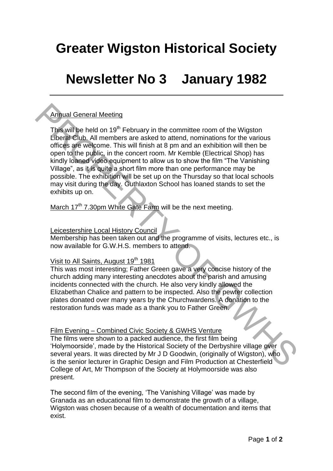# **Greater Wigston Historical Society**

## **Newsletter No 3 January 1982**

### Annual General Meeting

This will be held on  $19<sup>th</sup>$  February in the committee room of the Wigston Liberal Club. All members are asked to attend, nominations for the various offices are welcome. This will finish at 8 pm and an exhibition will then be open to the public, in the concert room. Mr Kemble (Electrical Shop) has kindly loaned video equipment to allow us to show the film "The Vanishing Village", as it is quite a short film more than one performance may be possible. The exhibition will be set up on the Thursday so that local schools may visit during the day. Guthlaxton School has loaned stands to set the exhibits up on. Annual General Meeting<br>
This will be held on 19<sup>th</sup> February in the committee room of the Wigston<br>
This will be held on 19<sup>th</sup> February in the committee room of the various<br>
offices are welcome. This will finish at 8 pm a

March 17<sup>th</sup> 7.30pm White Gate Farm will be the next meeting.

#### Leicestershire Local History Council

Membership has been taken out and the programme of visits, lectures etc., is now available for G.W.H.S. members to attend.

### Visit to All Saints, August 19<sup>th</sup> 1981

This was most interesting; Father Green gave a very concise history of the church adding many interesting anecdotes about the parish and amusing incidents connected with the church. He also very kindly allowed the Elizabethan Chalice and pattern to be inspected. Also the pewter collection plates donated over many years by the Churchwardens. A donation to the restoration funds was made as a thank you to Father Green.

#### Film Evening – Combined Civic Society & GWHS Venture

The films were shown to a packed audience, the first film being "Holymoorside", made by the Historical Society of the Derbyshire village over several years. It was directed by Mr J D Goodwin, (originally of Wigston), who is the senior lecturer in Graphic Design and Film Production at Chesterfield College of Art, Mr Thompson of the Society at Holymoorside was also present.

The second film of the evening, 'The Vanishing Village' was made by Granada as an educational film to demonstrate the growth of a village, Wigston was chosen because of a wealth of documentation and items that exist.